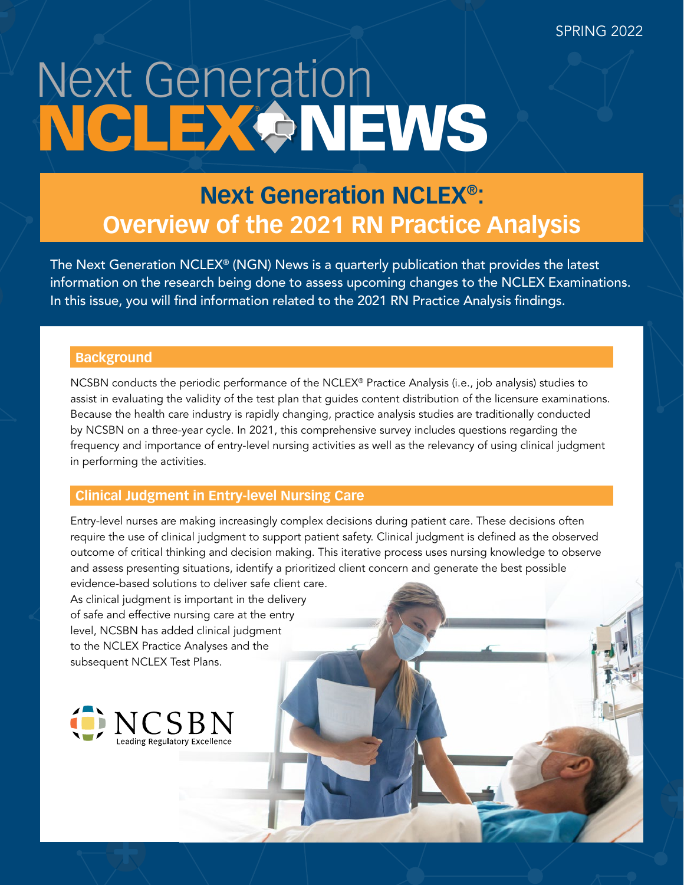# Next Generation NCLEX & NEWS

# **Next Generation NCLEX®: Overview of the 2021 RN Practice Analysis**

The Next Generation NCLEX® (NGN) News is a quarterly publication that provides the latest information on the research being done to assess upcoming changes to the NCLEX Examinations. In this issue, you will find information related to the 2021 RN Practice Analysis findings.

# **Background**

NCSBN conducts the periodic performance of the NCLEX® Practice Analysis (i.e., job analysis) studies to assist in evaluating the validity of the test plan that guides content distribution of the licensure examinations. Because the health care industry is rapidly changing, practice analysis studies are traditionally conducted by NCSBN on a three-year cycle. In 2021, this comprehensive survey includes questions regarding the frequency and importance of entry-level nursing activities as well as the relevancy of using clinical judgment in performing the activities.

# **Clinical Judgment in Entry-level Nursing Care**

Entry-level nurses are making increasingly complex decisions during patient care. These decisions often require the use of clinical judgment to support patient safety. Clinical judgment is defined as the observed outcome of critical thinking and decision making. This iterative process uses nursing knowledge to observe and assess presenting situations, identify a prioritized client concern and generate the best possible

evidence-based solutions to deliver safe client care. As clinical judgment is important in the delivery of safe and effective nursing care at the entry level, NCSBN has added clinical judgment to the NCLEX Practice Analyses and the subsequent NCLEX Test Plans.

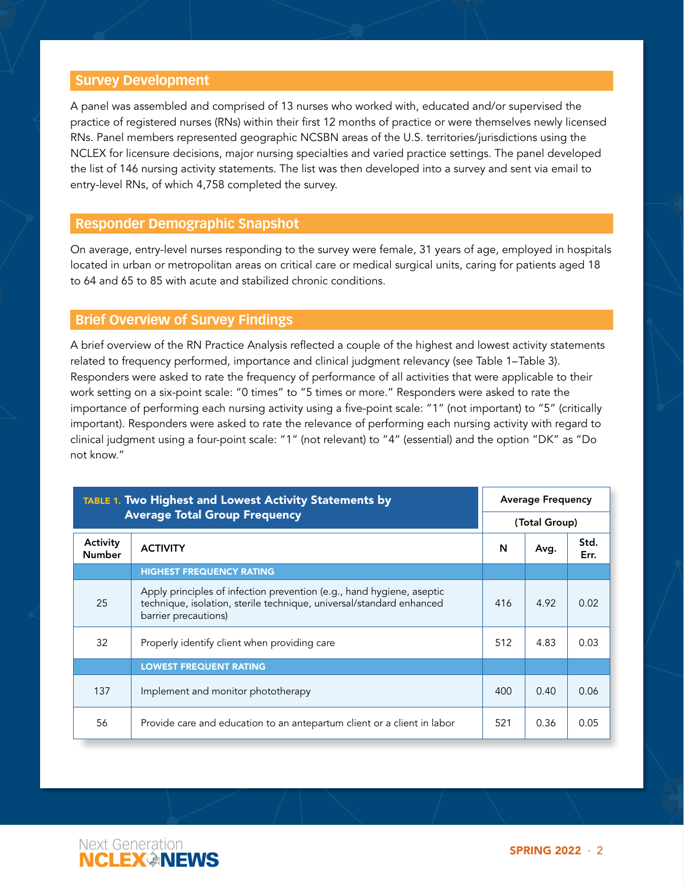#### **Survey Development**

A panel was assembled and comprised of 13 nurses who worked with, educated and/or supervised the practice of registered nurses (RNs) within their first 12 months of practice or were themselves newly licensed RNs. Panel members represented geographic NCSBN areas of the U.S. territories/jurisdictions using the NCLEX for licensure decisions, major nursing specialties and varied practice settings. The panel developed the list of 146 nursing activity statements. The list was then developed into a survey and sent via email to entry-level RNs, of which 4,758 completed the survey.

#### **Responder Demographic Snapshot**

On average, entry-level nurses responding to the survey were female, 31 years of age, employed in hospitals located in urban or metropolitan areas on critical care or medical surgical units, caring for patients aged 18 to 64 and 65 to 85 with acute and stabilized chronic conditions.

### **Brief Overview of Survey Findings**

A brief overview of the RN Practice Analysis reflected a couple of the highest and lowest activity statements related to frequency performed, importance and clinical judgment relevancy (see Table 1–Table 3). Responders were asked to rate the frequency of performance of all activities that were applicable to their work setting on a six-point scale: "0 times" to "5 times or more." Responders were asked to rate the importance of performing each nursing activity using a five-point scale: "1" (not important) to "5" (critically important). Responders were asked to rate the relevance of performing each nursing activity with regard to clinical judgment using a four-point scale: "1" (not relevant) to "4" (essential) and the option "DK" as "Do not know."

| <b>TABLE 1. Two Highest and Lowest Activity Statements by</b> |                                                                                                                                                                       | <b>Average Frequency</b> |               |              |  |
|---------------------------------------------------------------|-----------------------------------------------------------------------------------------------------------------------------------------------------------------------|--------------------------|---------------|--------------|--|
|                                                               | <b>Average Total Group Frequency</b>                                                                                                                                  |                          | (Total Group) |              |  |
| Activity<br><b>Number</b>                                     | <b>ACTIVITY</b>                                                                                                                                                       | N                        | Avg.          | Std.<br>Err. |  |
|                                                               | <b>HIGHEST FREQUENCY RATING</b>                                                                                                                                       |                          |               |              |  |
| 25                                                            | Apply principles of infection prevention (e.g., hand hygiene, aseptic<br>technique, isolation, sterile technique, universal/standard enhanced<br>barrier precautions) | 416                      | 4.92          | 0.02         |  |
| 32                                                            | Properly identify client when providing care                                                                                                                          | 512                      | 4.83          | 0.03         |  |
|                                                               | <b>LOWEST FREQUENT RATING</b>                                                                                                                                         |                          |               |              |  |
| 137                                                           | Implement and monitor phototherapy                                                                                                                                    | 400                      | 0.40          | 0.06         |  |
| 56                                                            | Provide care and education to an antepartum client or a client in labor                                                                                               | 521                      | 0.36          | 0.05         |  |

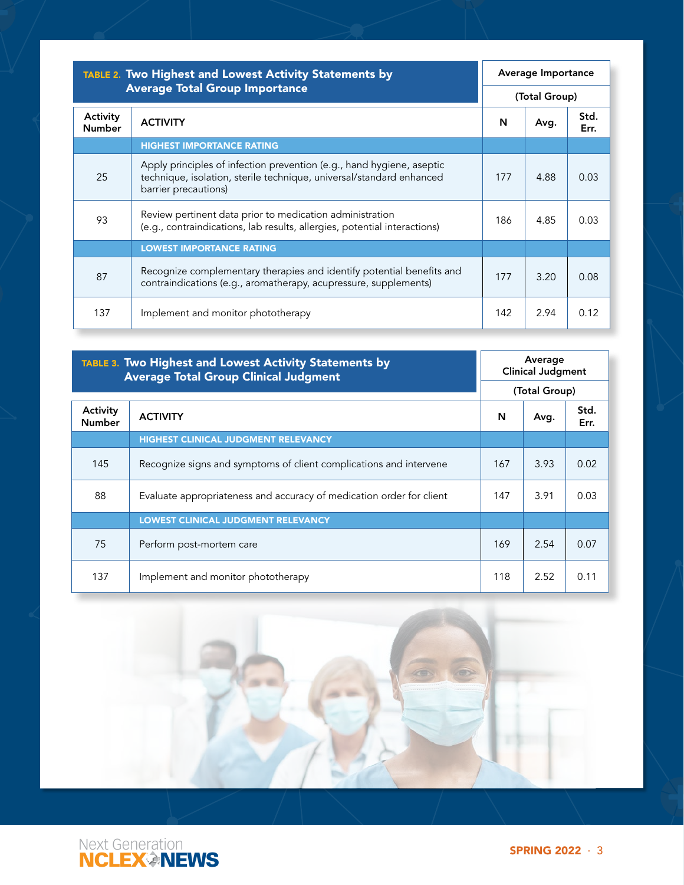| <b>TABLE 2. Two Highest and Lowest Activity Statements by</b><br><b>Average Total Group Importance</b> |                                                                                                                                                                       | Average Importance |      |              |
|--------------------------------------------------------------------------------------------------------|-----------------------------------------------------------------------------------------------------------------------------------------------------------------------|--------------------|------|--------------|
|                                                                                                        |                                                                                                                                                                       | (Total Group)      |      |              |
| Activity<br><b>Number</b>                                                                              | <b>ACTIVITY</b>                                                                                                                                                       | N                  | Avg. | Std.<br>Err. |
|                                                                                                        | <b>HIGHEST IMPORTANCE RATING</b>                                                                                                                                      |                    |      |              |
| 25                                                                                                     | Apply principles of infection prevention (e.g., hand hygiene, aseptic<br>technique, isolation, sterile technique, universal/standard enhanced<br>barrier precautions) | 177                | 4.88 | 0.03         |
| 93                                                                                                     | Review pertinent data prior to medication administration<br>(e.g., contraindications, lab results, allergies, potential interactions)                                 | 186                | 4.85 | 0.03         |
|                                                                                                        | <b>LOWEST IMPORTANCE RATING</b>                                                                                                                                       |                    |      |              |
| 87                                                                                                     | Recognize complementary therapies and identify potential benefits and<br>contraindications (e.g., aromatherapy, acupressure, supplements)                             | 177                | 3.20 | 0.08         |
| 137                                                                                                    | Implement and monitor phototherapy                                                                                                                                    | 142                | 2.94 | 0.12         |

| <b>TABLE 3. Two Highest and Lowest Activity Statements by</b><br><b>Average Total Group Clinical Judgment</b> |                                                                      | Average<br><b>Clinical Judgment</b> |      |              |  |
|---------------------------------------------------------------------------------------------------------------|----------------------------------------------------------------------|-------------------------------------|------|--------------|--|
|                                                                                                               |                                                                      | (Total Group)                       |      |              |  |
| Activity<br><b>Number</b>                                                                                     | <b>ACTIVITY</b>                                                      | N                                   | Avg. | Std.<br>Err. |  |
|                                                                                                               | <b>HIGHEST CLINICAL JUDGMENT RELEVANCY</b>                           |                                     |      |              |  |
| 145                                                                                                           | Recognize signs and symptoms of client complications and intervene   | 167                                 | 3.93 | 0.02         |  |
| 88                                                                                                            | Evaluate appropriateness and accuracy of medication order for client | 147                                 | 3.91 | 0.03         |  |
|                                                                                                               | <b>LOWEST CLINICAL JUDGMENT RELEVANCY</b>                            |                                     |      |              |  |
| 75                                                                                                            | Perform post-mortem care                                             | 169                                 | 2.54 | 0.07         |  |
| 137                                                                                                           | Implement and monitor phototherapy                                   | 118                                 | 2.52 | 0.11         |  |



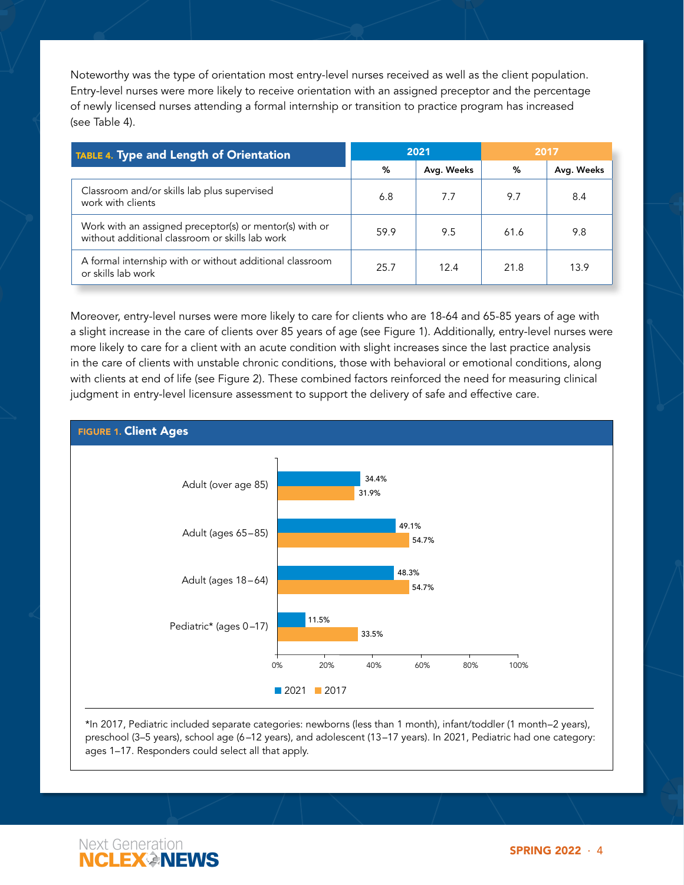Noteworthy was the type of orientation most entry-level nurses received as well as the client population. Entry-level nurses were more likely to receive orientation with an assigned preceptor and the percentage of newly licensed nurses attending a formal internship or transition to practice program has increased (see Table 4).

| <b>TABLE 4. Type and Length of Orientation</b>                                                             | 2021 |            | 2017 |            |  |
|------------------------------------------------------------------------------------------------------------|------|------------|------|------------|--|
|                                                                                                            | %    | Avg. Weeks | %    | Avg. Weeks |  |
| Classroom and/or skills lab plus supervised<br>work with clients                                           | 6.8  | 7.7        | 9.7  | 8.4        |  |
| Work with an assigned preceptor(s) or mentor(s) with or<br>without additional classroom or skills lab work | 59.9 | 9.5        | 61.6 | 9.8        |  |
| A formal internship with or without additional classroom<br>or skills lab work                             | 25.7 | 12.4       | 21.8 | 13.9       |  |

Moreover, entry-level nurses were more likely to care for clients who are 18-64 and 65-85 years of age with a slight increase in the care of clients over 85 years of age (see Figure 1). Additionally, entry-level nurses were more likely to care for a client with an acute condition with slight increases since the last practice analysis in the care of clients with unstable chronic conditions, those with behavioral or emotional conditions, along with clients at end of life (see Figure 2). These combined factors reinforced the need for measuring clinical judgment in entry-level licensure assessment to support the delivery of safe and effective care.



\*In 2017, Pediatric included separate categories: newborns (less than 1 month), infant/toddler (1 month–2 years), preschool (3–5 years), school age (6–12 years), and adolescent (13–17 years). In 2021, Pediatric had one category: ages 1–17. Responders could select all that apply.